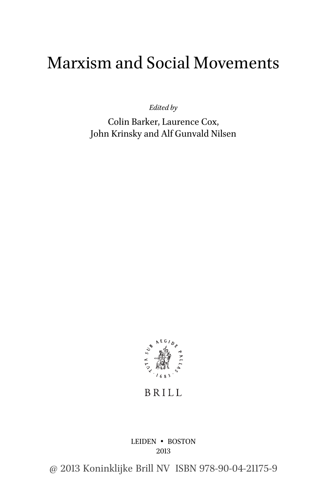# Marxism and Social Movements

*Edited by*

Colin Barker, Laurence Cox, John Krinsky and Alf Gunvald Nilsen



BRILL

LEIDEN • BOSTON 2013

 $\textcircled{a}$ 2013 Koninklijke Brill NV ISBN 978-90-04-21175-9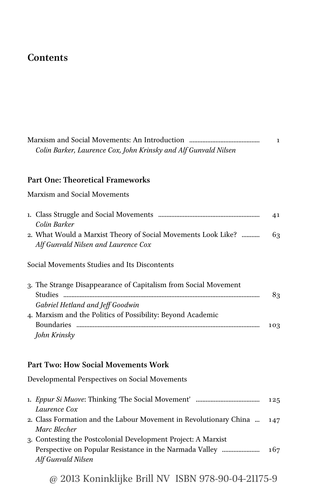# **Contents**

| Colin Barker, Laurence Cox, John Krinsky and Alf Gunvald Nilsen                                                                                | 1   |
|------------------------------------------------------------------------------------------------------------------------------------------------|-----|
| <b>Part One: Theoretical Frameworks</b>                                                                                                        |     |
| Marxism and Social Movements                                                                                                                   |     |
| Colin Barker                                                                                                                                   | 41  |
| 2. What Would a Marxist Theory of Social Movements Look Like?<br>Alf Gunvald Nilsen and Laurence Cox                                           | 63  |
| Social Movements Studies and Its Discontents                                                                                                   |     |
| 3. The Strange Disappearance of Capitalism from Social Movement<br>Gabriel Hetland and Jeff Goodwin                                            | 83  |
| 4. Marxism and the Politics of Possibility: Beyond Academic<br>John Krinsky                                                                    | 103 |
| <b>Part Two: How Social Movements Work</b>                                                                                                     |     |
| Developmental Perspectives on Social Movements                                                                                                 |     |
| Laurence Cox                                                                                                                                   | 125 |
| 2. Class Formation and the Labour Movement in Revolutionary China<br>Marc Blecher                                                              | 147 |
| 3. Contesting the Postcolonial Development Project: A Marxist<br>Perspective on Popular Resistance in the Narmada Valley<br>Alf Gunvald Nilsen | 167 |

 $\textcircled{a}$  2013 Koninklijke Brill NV ISBN 978-90-04-21175-9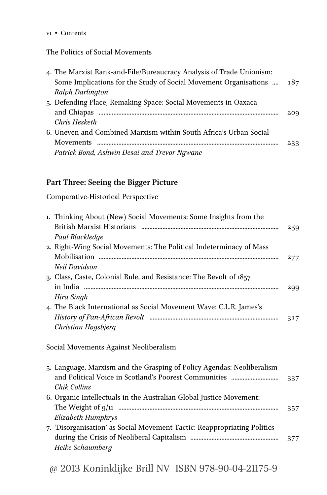#### The Politics of Social Movements

| 4. The Marxist Rank-and-File/Bureaucracy Analysis of Trade Unionism: |     |
|----------------------------------------------------------------------|-----|
| Some Implications for the Study of Social Movement Organisations     | 187 |
| Ralph Darlington                                                     |     |
| 5. Defending Place, Remaking Space: Social Movements in Oaxaca       |     |
|                                                                      | 209 |
| Chris Hesketh                                                        |     |
| 6. Uneven and Combined Marxism within South Africa's Urban Social    |     |
| <b>Movements</b>                                                     | 233 |
| Patrick Bond, Ashwin Desai and Trevor Ngwane                         |     |

## **Part Three: Seeing the Bigger Picture**

Comparative-Historical Perspective

| 1. Thinking About (New) Social Movements: Some Insights from the    |     |
|---------------------------------------------------------------------|-----|
|                                                                     | 259 |
| Paul Blackledge                                                     |     |
| 2. Right-Wing Social Movements: The Political Indeterminacy of Mass |     |
|                                                                     | 277 |
| Neil Davidson                                                       |     |
| 3. Class, Caste, Colonial Rule, and Resistance: The Revolt of 1857  |     |
|                                                                     | 299 |
| Hira Singh                                                          |     |
| 4. The Black International as Social Movement Wave: C.L.R. James's  |     |
|                                                                     | 317 |
| Christian Høgsbjerg                                                 |     |
|                                                                     |     |

### Social Movements Against Neoliberalism

| 5. Language, Marxism and the Grasping of Policy Agendas: Neoliberalism   |     |
|--------------------------------------------------------------------------|-----|
|                                                                          | 337 |
| Chik Collins                                                             |     |
| 6. Organic Intellectuals in the Australian Global Justice Movement:      |     |
|                                                                          | 357 |
| Elizabeth Humphrys                                                       |     |
| 7. 'Disorganisation' as Social Movement Tactic: Reappropriating Politics |     |
|                                                                          | 377 |
| Heike Schaumberg                                                         |     |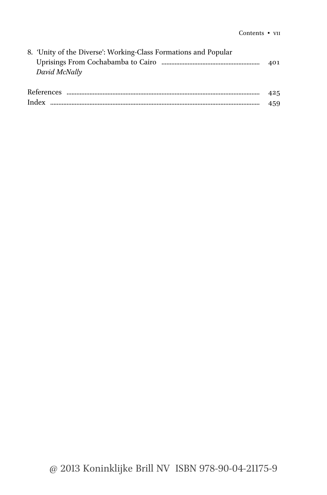| 8. 'Unity of the Diverse': Working-Class Formations and Popular |     |
|-----------------------------------------------------------------|-----|
|                                                                 | 401 |
| David McNally                                                   |     |
|                                                                 |     |
|                                                                 | 125 |
|                                                                 | 459 |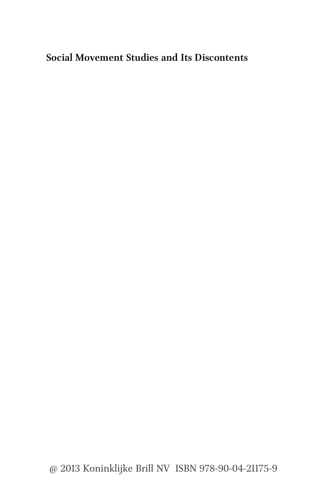# **Social Movement Studies and Its Discontents**

@ 2013 Koninklijke Brill NV ISBN 978-90-04-21175-9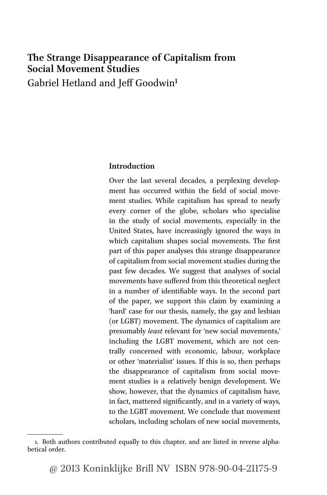# **The Strange Disappearance of Capitalism from Social Movement Studies**

Gabriel Hetland and Jeff Goodwin<sup>1</sup>

#### **Introduction**

Over the last several decades, a perplexing development has occurred within the field of social movement studies. While capitalism has spread to nearly every corner of the globe, scholars who specialise in the study of social movements, especially in the United States, have increasingly ignored the ways in which capitalism shapes social movements. The first part of this paper analyses this strange disappearance of capitalism from social movement studies during the past few decades. We suggest that analyses of social movements have suffered from this theoretical neglect in a number of identifiable ways. In the second part of the paper, we support this claim by examining a 'hard' case for our thesis, namely, the gay and lesbian (or LGBT) movement. The dynamics of capitalism are presumably *least* relevant for 'new social movements,' including the LGBT movement, which are not centrally concerned with economic, labour, workplace or other 'materialist' issues. If this is so, then perhaps the disappearance of capitalism from social movement studies is a relatively benign development. We show, however, that the dynamics of capitalism have, in fact, mattered significantly, and in a variety of ways, to the LGBT movement. We conclude that movement scholars, including scholars of new social movements,

<sup>1.</sup> Both authors contributed equally to this chapter, and are listed in reverse alphabetical order.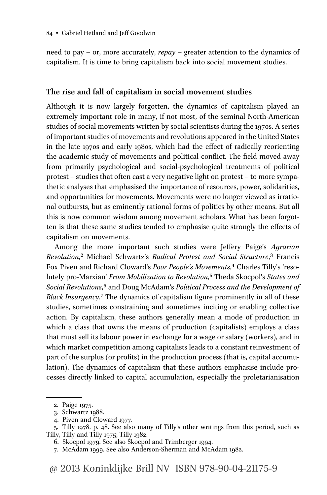need to pay – or, more accurately, *repay* – greater attention to the dynamics of capitalism. It is time to bring capitalism back into social movement studies.

#### **The rise and fall of capitalism in social movement studies**

Although it is now largely forgotten, the dynamics of capitalism played an extremely important role in many, if not most, of the seminal North-American studies of social movements written by social scientists during the 1970s. A series of important studies of movements and revolutions appeared in the United States in the late 1970s and early 1980s, which had the efffect of radically reorienting the academic study of movements and political conflict. The field moved away from primarily psychological and social-psychological treatments of political protest – studies that often cast a very negative light on protest – to more sympathetic analyses that emphasised the importance of resources, power, solidarities, and opportunities for movements. Movements were no longer viewed as irrational outbursts, but as eminently rational forms of politics by other means. But all this is now common wisdom among movement scholars. What has been forgotten is that these same studies tended to emphasise quite strongly the effects of capitalism on movements.

Among the more important such studies were Jeffery Paige's Agrarian *Revolution*,2 Michael Schwartz's *Radical Protest and Social Structure*,3 Francis Fox Piven and Richard Cloward's *Poor People's Movements*,4 Charles Tilly's 'resolutely pro-Marxian' *From Mobilization to Revolution*,5 Theda Skocpol's *States and Social Revolutions*,6 and Doug McAdam's *Political Process and the Development of Black Insurgency*.<sup>7</sup> The dynamics of capitalism figure prominently in all of these studies, sometimes constraining and sometimes inciting or enabling collective action. By capitalism, these authors generally mean a mode of production in which a class that owns the means of production (capitalists) employs a class that must sell its labour power in exchange for a wage or salary (workers), and in which market competition among capitalists leads to a constant reinvestment of part of the surplus (or profits) in the production process (that is, capital accumulation). The dynamics of capitalism that these authors emphasise include processes directly linked to capital accumulation, especially the proletarianisation

4. Piven and Cloward 1977.

6. Skocpol 1979. See also Skocpol and Trimberger 1994.

<sup>2.</sup> Paige 1975.

<sup>3.</sup> Schwartz 1988.

<sup>5.</sup> Tilly 1978, p. 48. See also many of Tilly's other writings from this period, such as Tilly, Tilly and Tilly 1975; Tilly 1982.

<sup>7.</sup> McAdam 1999. See also Anderson-Sherman and McAdam 1982.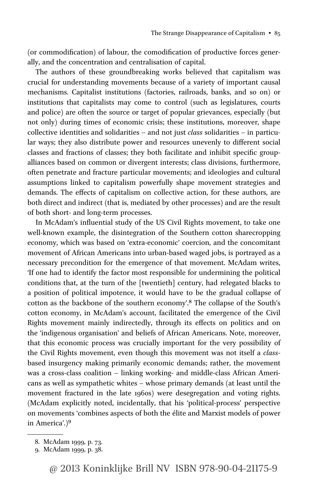(or commodification) of labour, the comodification of productive forces generally, and the concentration and centralisation of capital.

The authors of these groundbreaking works believed that capitalism was crucial for understanding movements because of a variety of important causal mechanisms. Capitalist institutions (factories, railroads, banks, and so on) or institutions that capitalists may come to control (such as legislatures, courts and police) are often the source or target of popular grievances, especially (but not only) during times of economic crisis; these institutions, moreover, shape collective identities and solidarities – and not just *class* solidarities – in particular ways; they also distribute power and resources unevenly to different social classes and fractions of classes; they both facilitate and inhibit specific groupalliances based on common or divergent interests; class divisions, furthermore, often penetrate and fracture particular movements; and ideologies and cultural assumptions linked to capitalism powerfully shape movement strategies and demands. The effects of capitalism on collective action, for these authors, are both direct and indirect (that is, mediated by other processes) and are the result of both short- and long-term processes.

In McAdam's influential study of the US Civil Rights movement, to take one well-known example, the disintegration of the Southern cotton sharecropping economy, which was based on 'extra-economic' coercion, and the concomitant movement of African Americans into urban-based waged jobs, is portrayed as a necessary precondition for the emergence of that movement. McAdam writes, 'If one had to identify the factor most responsible for undermining the political conditions that, at the turn of the [twentieth] century, had relegated blacks to a position of political impotence, it would have to be the gradual collapse of cotton as the backbone of the southern economy'.8 The collapse of the South's cotton economy, in McAdam's account, facilitated the emergence of the Civil Rights movement mainly indirectedly, through its effects on politics and on the 'indigenous organisation' and beliefs of African Americans. Note, moreover, that this economic process was crucially important for the very possibility of the Civil Rights movement, even though this movement was not itself a *class*based insurgency making primarily economic demands; rather, the movement was a cross-class coalition – linking working- and middle-class African Americans as well as sympathetic whites – whose primary demands (at least until the movement fractured in the late 1960s) were desegregation and voting rights. (McAdam explicitly noted, incidentally, that his 'political-process' perspective on movements 'combines aspects of both the élite and Marxist models of power in America'.)9

<sup>8.</sup> McAdam 1999, p. 73.

<sup>9.</sup> McAdam 1999, p. 38.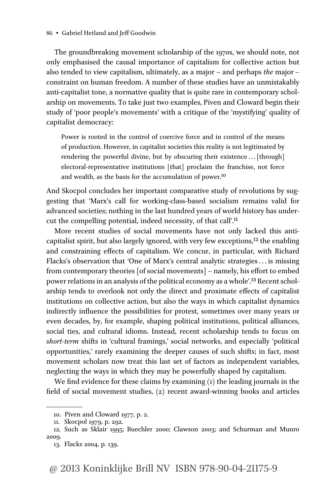The groundbreaking movement scholarship of the 1970s, we should note, not only emphasised the causal importance of capitalism for collective action but also tended to view capitalism, ultimately, as a major – and perhaps *the* major – constraint on human freedom. A number of these studies have an unmistakably anti-capitalist tone, a normative quality that is quite rare in contemporary scholarship on movements. To take just two examples, Piven and Cloward begin their study of 'poor people's movements' with a critique of the 'mystifying' quality of capitalist democracy:

Power is rooted in the control of coercive force and in control of the means of production. However, in capitalist societies this reality is not legitimated by rendering the powerful divine, but by obscuring their existence . . . [through] electoral-representative institutions [that] proclaim the franchise, not force and wealth, as the basis for the accumulation of power.10

And Skocpol concludes her important comparative study of revolutions by suggesting that 'Marx's call for working-class-based socialism remains valid for advanced societies; nothing in the last hundred years of world history has undercut the compelling potential, indeed necessity, of that call'.11

More recent studies of social movements have not only lacked this anti capitalist spirit, but also largely ignored, with very few exceptions,12 the enabling and constraining effects of capitalism. We concur, in particular, with Richard Flacks's observation that 'One of Marx's central analytic strategies . . . is missing from contemporary theories [of social movements] – namely, his effort to embed power relations in an analysis of the political economy as a whole'.13 Recent scholarship tends to overlook not only the direct and proximate efffects of capitalist institutions on collective action, but also the ways in which capitalist dynamics indirectly influence the possibilities for protest, sometimes over many years or even decades, by, for example, shaping political institutions, political alliances, social ties, and cultural idioms. Instead, recent scholarship tends to focus on *short-term* shifts in 'cultural framings,' social networks, and especially 'political opportunities,' rarely examining the deeper causes of such shifts; in fact, most movement scholars now treat this last set of factors as independent variables, neglecting the ways in which they may be powerfully shaped by capitalism.

We find evidence for these claims by examining  $(i)$  the leading journals in the field of social movement studies,  $(2)$  recent award-winning books and articles

<sup>10.</sup> Piven and Cloward 1977, p. 2.

<sup>11.</sup> Skocpol 1979, p. 292.

<sup>12.</sup> Such as Sklair 1995; Buechler 2000; Clawson 2003; and Schurman and Munro 2009.

<sup>13.</sup> Flacks 2004, p. 139.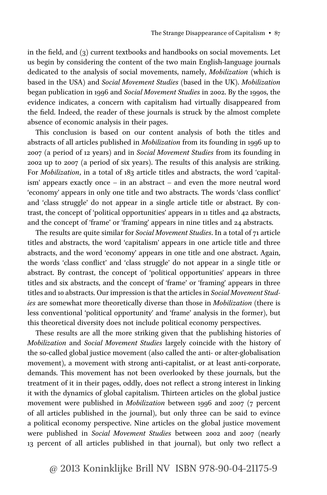in the field, and  $(3)$  current textbooks and handbooks on social movements. Let us begin by considering the content of the two main English-language journals dedicated to the analysis of social movements, namely, *Mobilization* (which is based in the USA) and *Social Movement Studies* (based in the UK). *Mobilization* began publication in 1996 and *Social Movement Studies* in 2002. By the 1990s, the evidence indicates, a concern with capitalism had virtually disappeared from the field. Indeed, the reader of these journals is struck by the almost complete absence of economic analysis in their pages.

This conclusion is based on our content analysis of both the titles and abstracts of all articles published in *Mobilization* from its founding in 1996 up to 2007 (a period of 12 years) and in *Social Movement Studies* from its founding in 2002 up to 2007 (a period of six years). The results of this analysis are striking. For *Mobilization*, in a total of 183 article titles and abstracts, the word 'capitalism' appears exactly once – in an abstract – and even the more neutral word 'economy' appears in only one title and two abstracts. The words 'class conflict' and 'class struggle' do not appear in a single article title or abstract. By contrast, the concept of 'political opportunities' appears in 11 titles and 42 abstracts, and the concept of 'frame' or 'framing' appears in nine titles and 24 abstracts.

The results are quite similar for *Social Movement Studies*. In a total of 71 article titles and abstracts, the word 'capitalism' appears in one article title and three abstracts, and the word 'economy' appears in one title and one abstract. Again, the words 'class conflict' and 'class struggle' do not appear in a single title or abstract. By contrast, the concept of 'political opportunities' appears in three titles and six abstracts, and the concept of 'frame' or 'framing' appears in three titles and 10 abstracts. Our impression is that the articles in *Social Movement Studies* are somewhat more theoretically diverse than those in *Mobilization* (there is less conventional 'political opportunity' and 'frame' analysis in the former), but this theoretical diversity does not include political economy perspectives.

These results are all the more striking given that the publishing histories of *Mobilization* and *Social Movement Studies* largely coincide with the history of the so-called global justice movement (also called the anti- or alter-globalisation movement), a movement with strong anti-capitalist, or at least anti-corporate, demands. This movement has not been overlooked by these journals, but the treatment of it in their pages, oddly, does not reflect a strong interest in linking it with the dynamics of global capitalism. Thirteen articles on the global justice movement were published in *Mobilization* between 1996 and 2007 (7 percent of all articles published in the journal), but only three can be said to evince a political economy perspective. Nine articles on the global justice movement were published in *Social Movement Studies* between 2002 and 2007 (nearly 13 percent of all articles published in that journal), but only two reflect a

## @ 2013 Koninklijke Brill NV ISBN 978-90-04-21175-9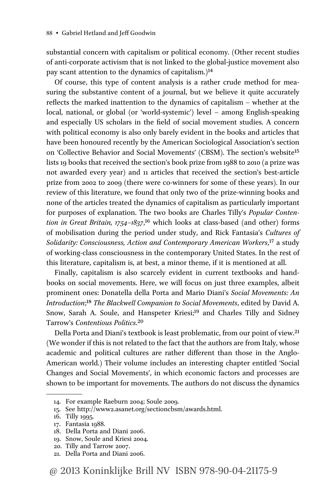substantial concern with capitalism or political economy. (Other recent studies of anti-corporate activism that is not linked to the global-justice movement also pay scant attention to the dynamics of capitalism.)<sup>14</sup>

Of course, this type of content analysis is a rather crude method for measuring the substantive content of a journal, but we believe it quite accurately reflects the marked inattention to the dynamics of capitalism – whether at the local, national, or global (or 'world-systemic') level – among English-speaking and especially US scholars in the field of social movement studies. A concern with political economy is also only barely evident in the books and articles that have been honoured recently by the American Sociological Association's section on 'Collective Behavior and Social Movements' (CBSM). The section's website<sup>15</sup> lists 19 books that received the section's book prize from 1988 to 2010 (a prize was not awarded every year) and 11 articles that received the section's best-article prize from 2002 to 2009 (there were co-winners for some of these years). In our review of this literature, we found that only two of the prize-winning books and none of the articles treated the dynamics of capitalism as particularly important for purposes of explanation. The two books are Charles Tilly's *Popular Contention in Great Britain, 1754–1837*,16 which looks at class-based (and other) forms of mobilisation during the period under study, and Rick Fantasia's *Cultures of Solidarity: Consciousness, Action and Contemporary American Workers*,17 a study of working-class consciousness in the contemporary United States. In the rest of this literature, capitalism is, at best, a minor theme, if it is mentioned at all.

Finally, capitalism is also scarcely evident in current textbooks and handbooks on social movements. Here, we will focus on just three examples, albeit prominent ones: Donatella della Porta and Mario Diani's *Social Movements: An Introduction*;18 *The Blackwell Companion to Social Movements*, edited by David A. Snow, Sarah A. Soule, and Hanspeter Kriesi;<sup>19</sup> and Charles Tilly and Sidney Tarrow's *Contentious Politics*.20

Della Porta and Diani's textbook is least problematic, from our point of view.<sup>21</sup> (We wonder if this is not related to the fact that the authors are from Italy, whose academic and political cultures are rather different than those in the Anglo-American world.) Their volume includes an interesting chapter entitled 'Social Changes and Social Movements', in which economic factors and processes are shown to be important for movements. The authors do not discuss the dynamics

<sup>14.</sup> For example Raeburn 2004; Soule 2009.

<sup>15.</sup> See http://www2.asanet.org/sectioncbsm/awards.html.

<sup>16.</sup> Tilly 1995.

<sup>17.</sup> Fantasia 1988.

<sup>18.</sup> Della Porta and Diani 2006.

<sup>19.</sup> Snow, Soule and Kriesi 2004.

<sup>20.</sup> Tilly and Tarrow 2007.

<sup>21.</sup> Della Porta and Diani 2006.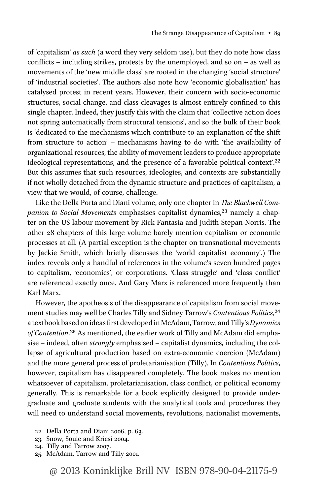of 'capitalism' *as such* (a word they very seldom use), but they do note how class conflicts – including strikes, protests by the unemployed, and so on – as well as movements of the 'new middle class' are rooted in the changing 'social structure' of 'industrial societies'. The authors also note how 'economic globalisation' has catalysed protest in recent years. However, their concern with socio-economic structures, social change, and class cleavages is almost entirely confined to this single chapter. Indeed, they justify this with the claim that 'collective action does not spring automatically from structural tensions', and so the bulk of their book is 'dedicated to the mechanisms which contribute to an explanation of the shift from structure to action' – mechanisms having to do with 'the availability of organizational resources, the ability of movement leaders to produce appropriate ideological representations, and the presence of a favorable political context'.<sup>22</sup> But this assumes that such resources, ideologies, and contexts are substantially if not wholly detached from the dynamic structure and practices of capitalism, a view that we would, of course, challenge.

Like the Della Porta and Diani volume, only one chapter in *The Blackwell Companion to Social Movements* emphasises capitalist dynamics,<sup>23</sup> namely a chapter on the US labour movement by Rick Fantasia and Judith Stepan-Norris. The other 28 chapters of this large volume barely mention capitalism or economic processes at all. (A partial exception is the chapter on transnational movements by Jackie Smith, which briefly discusses the 'world capitalist economy'.) The index reveals only a handful of references in the volume's seven hundred pages to capitalism, 'economics', or corporations. 'Class struggle' and 'class conflict' are referenced exactly once. And Gary Marx is referenced more frequently than Karl Marx.

However, the apotheosis of the disappearance of capitalism from social movement studies may well be Charles Tilly and Sidney Tarrow's *Contentious Politics*,24 a textbook based on ideas first developed in McAdam, Tarrow, and Tilly's *Dynamics of Contention*.25 As mentioned, the earlier work of Tilly and McAdam did emphasise – indeed, often *strongly* emphasised – capitalist dynamics, including the collapse of agricultural production based on extra-economic coercion (McAdam) and the more general process of proletarianisation (Tilly). In *Contentious Politics*, however, capitalism has disappeared completely. The book makes no mention whatsoever of capitalism, proletarianisation, class conflict, or political economy generally. This is remarkable for a book explicitly designed to provide undergraduate and graduate students with the analytical tools and procedures they will need to understand social movements, revolutions, nationalist movements,

<sup>22.</sup> Della Porta and Diani 2006, p. 63.

<sup>23.</sup> Snow, Soule and Kriesi 2004.

<sup>24.</sup> Tilly and Tarrow 2007.

<sup>25.</sup> McAdam, Tarrow and Tilly 2001.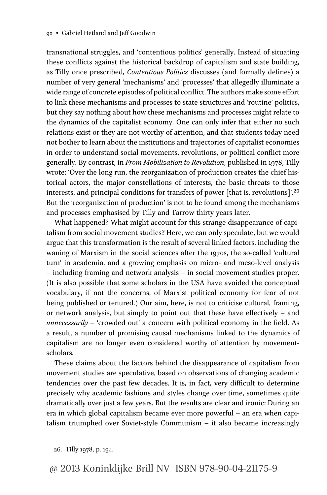transnational struggles, and 'contentious politics' generally. Instead of situating these conflicts against the historical backdrop of capitalism and state building, as Tilly once prescribed, *Contentious Politics* discusses (and formally defines) a number of very general 'mechanisms' and 'processes' that allegedly illuminate a wide range of concrete episodes of political conflict. The authors make some efffort to link these mechanisms and processes to state structures and 'routine' politics, but they say nothing about how these mechanisms and processes might relate to the dynamics of the capitalist economy. One can only infer that either no such relations exist or they are not worthy of attention, and that students today need not bother to learn about the institutions and trajectories of capitalist economies in order to understand social movements, revolutions, or political conflict more generally. By contrast, in *From Mobilization to Revolution*, published in 1978, Tilly wrote: 'Over the long run, the reorganization of production creates the chief historical actors, the major constellations of interests, the basic threats to those interests, and principal conditions for transfers of power [that is, revolutions]'.26 But the 'reorganization of production' is not to be found among the mechanisms and processes emphasised by Tilly and Tarrow thirty years later.

What happened? What might account for this strange disappearance of capitalism from social movement studies? Here, we can only speculate, but we would argue that this transformation is the result of several linked factors, including the waning of Marxism in the social sciences after the 1970s, the so-called 'cultural turn' in academia, and a growing emphasis on micro- and meso-level analysis – including framing and network analysis – in social movement studies proper. (It is also possible that some scholars in the USA have avoided the conceptual vocabulary, if not the concerns, of Marxist political economy for fear of not being published or tenured.) Our aim, here, is not to criticise cultural, framing, or network analysis, but simply to point out that these have effectively  $-$  and *unnecessarily* – 'crowded out' a concern with political economy in the field. As a result, a number of promising causal mechanisms linked to the dynamics of capitalism are no longer even considered worthy of attention by movementscholars.

These claims about the factors behind the disappearance of capitalism from movement studies are speculative, based on observations of changing academic tendencies over the past few decades. It is, in fact, very difficult to determine precisely why academic fashions and styles change over time, sometimes quite dramatically over just a few years. But the results are clear and ironic: During an era in which global capitalism became ever more powerful – an era when capitalism triumphed over Soviet-style Communism – it also became increasingly

<sup>26.</sup> Tilly 1978, p. 194.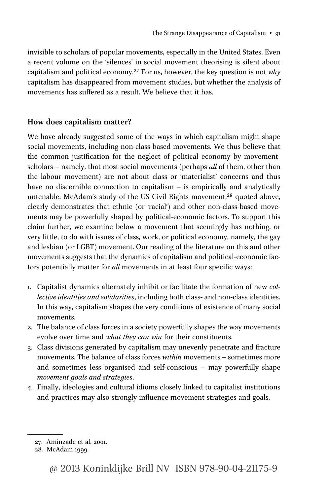invisible to scholars of popular movements, especially in the United States. Even a recent volume on the 'silences' in social movement theorising is silent about capitalism and political economy.27 For us, however, the key question is not *why* capitalism has disappeared from movement studies, but whether the analysis of movements has suffered as a result. We believe that it has.

#### **How does capitalism matter?**

We have already suggested some of the ways in which capitalism might shape social movements, including non-class-based movements. We thus believe that the common justification for the neglect of political economy by movementscholars – namely, that most social movements (perhaps *all* of them, other than the labour movement) are not about class or 'materialist' concerns and thus have no discernible connection to capitalism – is empirically and analytically untenable. McAdam's study of the US Civil Rights movement,<sup>28</sup> quoted above, clearly demonstrates that ethnic (or 'racial') and other non-class-based movements may be powerfully shaped by political-economic factors. To support this claim further, we examine below a movement that seemingly has nothing, or very little, to do with issues of class, work, or political economy, namely, the gay and lesbian (or LGBT) movement. Our reading of the literature on this and other movements suggests that the dynamics of capitalism and political-economic factors potentially matter for *all* movements in at least four specific ways:

- 1. Capitalist dynamics alternately inhibit or facilitate the formation of new *collective identities and solidarities*, including both class- and non-class identities. In this way, capitalism shapes the very conditions of existence of many social movements.
- 2. The balance of class forces in a society powerfully shapes the way movements evolve over time and *what they can win* for their constituents.
- 3. Class divisions generated by capitalism may unevenly penetrate and fracture movements. The balance of class forces *within* movements – sometimes more and sometimes less organised and self-conscious – may powerfully shape *movement goals and strategies*.
- 4. Finally, ideologies and cultural idioms closely linked to capitalist institutions and practices may also strongly influence movement strategies and goals.

<sup>27.</sup> Aminzade et al. 2001.

<sup>28.</sup> McAdam 1999.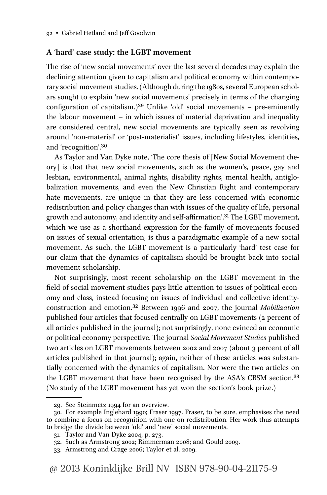#### **A 'hard' case study: the LGBT movement**

The rise of 'new social movements' over the last several decades may explain the declining attention given to capitalism and political economy within contemporary social movement studies. (Although during the 1980s, several European scholars sought to explain 'new social movements' precisely in terms of the changing configuration of capitalism.)<sup>29</sup> Unlike 'old' social movements – pre-eminently the labour movement – in which issues of material deprivation and inequality are considered central, new social movements are typically seen as revolving around 'non-material' or 'post-materialist' issues, including lifestyles, identities, and 'recognition'.30

As Taylor and Van Dyke note, 'The core thesis of [New Social Movement theory] is that that new social movements, such as the women's, peace, gay and lesbian, environmental, animal rights, disability rights, mental health, antiglobalization movements, and even the New Christian Right and contemporary hate movements, are unique in that they are less concerned with economic redistribution and policy changes than with issues of the quality of life, personal growth and autonomy, and identity and self-affirmation'.<sup>31</sup> The LGBT movement, which we use as a shorthand expression for the family of movements focused on issues of sexual orientation, is thus a paradigmatic example of a new social movement. As such, the LGBT movement is a particularly 'hard' test case for our claim that the dynamics of capitalism should be brought back into social movement scholarship.

Not surprisingly, most recent scholarship on the LGBT movement in the field of social movement studies pays little attention to issues of political economy and class, instead focusing on issues of individual and collective identity construction and emotion.32 Between 1996 and 2007, the journal *Mobilization* published four articles that focused centrally on LGBT movements (2 percent of all articles published in the journal); not surprisingly, none evinced an economic or political economy perspective. The journal *Social Movement Studies* published two articles on LGBT movements between 2002 and 2007 (about 3 percent of all articles published in that journal); again, neither of these articles was substantially concerned with the dynamics of capitalism. Nor were the two articles on the LGBT movement that have been recognised by the ASA's CBSM section.<sup>33</sup> (No study of the LGBT movement has yet won the section's book prize.)

<sup>29.</sup> See Steinmetz 1994 for an overview.

<sup>30.</sup> For example Inglehard 1990; Fraser 1997. Fraser, to be sure, emphasises the need to combine a focus on recognition with one on redistribution. Her work thus attempts to bridge the divide between 'old' and 'new' social movements.

<sup>31.</sup> Taylor and Van Dyke 2004, p. 273.

<sup>32.</sup> Such as Armstrong 2002; Rimmerman 2008; and Gould 2009.

<sup>33.</sup> Armstrong and Crage 2006; Taylor et al. 2009.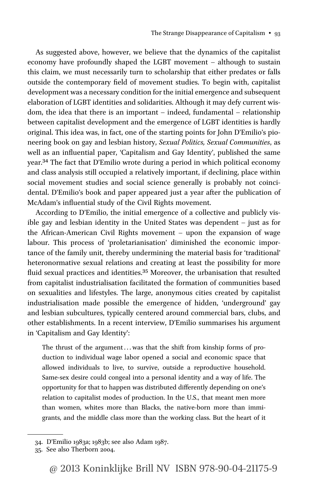As suggested above, however, we believe that the dynamics of the capitalist economy have profoundly shaped the LGBT movement – although to sustain this claim, we must necessarily turn to scholarship that either predates or falls outside the contemporary field of movement studies. To begin with, capitalist development was a necessary condition for the initial emergence and subsequent elaboration of LGBT identities and solidarities. Although it may defy current wisdom, the idea that there is an important – indeed, fundamental – relationship between capitalist development and the emergence of LGBT identities is hardly original. This idea was, in fact, one of the starting points for John D'Emilio's pioneering book on gay and lesbian history, *Sexual Politics, Sexual Communities*, as well as an influential paper, 'Capitalism and Gay Identity', published the same year.34 The fact that D'Emilio wrote during a period in which political economy and class analysis still occupied a relatively important, if declining, place within social movement studies and social science generally is probably not coincidental. D'Emilio's book and paper appeared just a year after the publication of McAdam's influential study of the Civil Rights movement.

According to D'Emilio, the initial emergence of a collective and publicly visible gay and lesbian identity in the United States was dependent – just as for the African-American Civil Rights movement – upon the expansion of wage labour. This process of 'proletarianisation' diminished the economic importance of the family unit, thereby undermining the material basis for 'traditional' heteronormative sexual relations and creating at least the possibility for more fluid sexual practices and identities.<sup>35</sup> Moreover, the urbanisation that resulted from capitalist industrialisation facilitated the formation of communities based on sexualities and lifestyles. The large, anonymous cities created by capitalist industrialisation made possible the emergence of hidden, 'underground' gay and lesbian subcultures, typically centered around commercial bars, clubs, and other establishments. In a recent interview, D'Emilio summarises his argument in 'Capitalism and Gay Identity':

The thrust of the argument ... was that the shift from kinship forms of production to individual wage labor opened a social and economic space that allowed individuals to live, to survive, outside a reproductive household. Same-sex desire could congeal into a personal identity and a way of life. The opportunity for that to happen was distributed differently depending on one's relation to capitalist modes of production. In the U.S., that meant men more than women, whites more than Blacks, the native-born more than immigrants, and the middle class more than the working class. But the heart of it

<sup>34.</sup> D'Emilio 1983a; 1983b; see also Adam 1987.

<sup>35.</sup> See also Therborn 2004.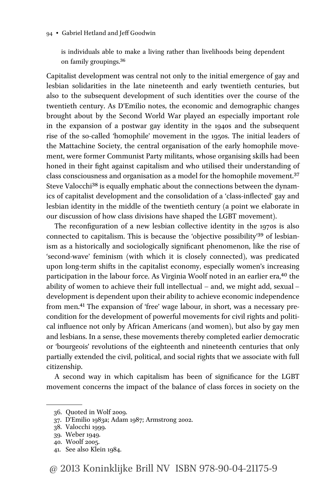is individuals able to make a living rather than livelihoods being dependent on family groupings.36

Capitalist development was central not only to the initial emergence of gay and lesbian solidarities in the late nineteenth and early twentieth centuries, but also to the subsequent development of such identities over the course of the twentieth century. As D'Emilio notes, the economic and demographic changes brought about by the Second World War played an especially important role in the expansion of a postwar gay identity in the 1940s and the subsequent rise of the so-called 'homophile' movement in the 1950s. The initial leaders of the Mattachine Society, the central organisation of the early homophile movement, were former Communist Party militants, whose organising skills had been honed in their fight against capitalism and who utilised their understanding of class consciousness and organisation as a model for the homophile movement.37 Steve Valocchi<sup>38</sup> is equally emphatic about the connections between the dynamics of capitalist development and the consolidation of a 'class-inflected' gay and lesbian identity in the middle of the twentieth century (a point we elaborate in our discussion of how class divisions have shaped the LGBT movement).

The reconfiguration of a new lesbian collective identity in the 1970s is also connected to capitalism. This is because the 'objective possibility'39 of lesbianism as a historically and sociologically significant phenomenon, like the rise of 'second-wave' feminism (with which it is closely connected), was predicated upon long-term shifts in the capitalist economy, especially women's increasing participation in the labour force. As Virginia Woolf noted in an earlier era,<sup>40</sup> the ability of women to achieve their full intellectual – and, we might add, sexual – development is dependent upon their ability to achieve economic independence from men.41 The expansion of 'free' wage labour, in short, was a necessary precondition for the development of powerful movements for civil rights and political influence not only by African Americans (and women), but also by gay men and lesbians. In a sense, these movements thereby completed earlier democratic or 'bourgeois' revolutions of the eighteenth and nineteenth centuries that only partially extended the civil, political, and social rights that we associate with full citizenship.

A second way in which capitalism has been of significance for the LGBT movement concerns the impact of the balance of class forces in society on the

<sup>36.</sup> Quoted in Wolf 2009.

<sup>37.</sup> D'Emilio 1983a; Adam 1987; Armstrong 2002.

<sup>38.</sup> Valocchi 1999.

<sup>39.</sup> Weber 1949.

<sup>40.</sup> Woolf 2005.

<sup>41.</sup> See also Klein 1984.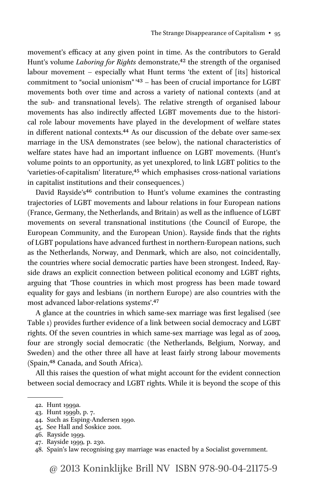movement's efficacy at any given point in time. As the contributors to Gerald Hunt's volume *Laboring for Rights* demonstrate,<sup>42</sup> the strength of the organised labour movement – especially what Hunt terms 'the extent of [its] historical commitment to "social unionism" '43 – has been of crucial importance for LGBT movements both over time and across a variety of national contexts (and at the sub- and transnational levels). The relative strength of organised labour movements has also indirectly afffected LGBT movements due to the historical role labour movements have played in the development of welfare states in different national contexts.<sup>44</sup> As our discussion of the debate over same-sex marriage in the USA demonstrates (see below), the national characteristics of welfare states have had an important influence on LGBT movements. (Hunt's volume points to an opportunity, as yet unexplored, to link LGBT politics to the 'varieties-of-capitalism' literature,45 which emphasises cross-national variations in capitalist institutions and their consequences.)

David Rayside's<sup>46</sup> contribution to Hunt's volume examines the contrasting trajectories of LGBT movements and labour relations in four European nations (France, Germany, the Netherlands, and Britain) as well as the influence of LGBT movements on several transnational institutions (the Council of Europe, the European Community, and the European Union). Rayside finds that the rights of LGBT populations have advanced furthest in northern-European nations, such as the Netherlands, Norway, and Denmark, which are also, not coincidentally, the countries where social democratic parties have been strongest. Indeed, Rayside draws an explicit connection between political economy and LGBT rights, arguing that 'Those countries in which most progress has been made toward equality for gays and lesbians (in northern Europe) are also countries with the most advanced labor-relations systems'.47

A glance at the countries in which same-sex marriage was first legalised (see Table 1) provides further evidence of a link between social democracy and LGBT rights. Of the seven countries in which same-sex marriage was legal as of 2009, four are strongly social democratic (the Netherlands, Belgium, Norway, and Sweden) and the other three all have at least fairly strong labour movements (Spain,48 Canada, and South Africa).

All this raises the question of what might account for the evident connection between social democracy and LGBT rights. While it is beyond the scope of this

47. Rayside 1999, p. 230.

<sup>42.</sup> Hunt 1999a.

<sup>43.</sup> Hunt 1999b, p. 7.

<sup>44.</sup> Such as Esping-Andersen 1990.

<sup>45.</sup> See Hall and Soskice 2001.

<sup>46.</sup> Rayside 1999.

<sup>48.</sup> Spain's law recognising gay marriage was enacted by a Socialist government.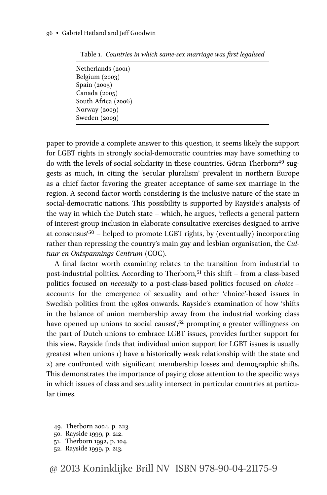Table 1. Countries in which same-sex marriage was first legalised

paper to provide a complete answer to this question, it seems likely the support for LGBT rights in strongly social-democratic countries may have something to do with the levels of social solidarity in these countries. Göran Therborn<sup>49</sup> suggests as much, in citing the 'secular pluralism' prevalent in northern Europe as a chief factor favoring the greater acceptance of same-sex marriage in the region. A second factor worth considering is the inclusive nature of the state in social-democratic nations. This possibility is supported by Rayside's analysis of the way in which the Dutch state – which, he argues, 'reflects a general pattern of interest-group inclusion in elaborate consultative exercises designed to arrive at consensus'50 – helped to promote LGBT rights, by (eventually) incorporating rather than repressing the country's main gay and lesbian organisation, the *Cultuur en Ontspannings Centrum* (COC).

A final factor worth examining relates to the transition from industrial to post-industrial politics. According to Therborn,<sup>51</sup> this shift – from a class-based politics focused on *necessity* to a post-class-based politics focused on *choice* – accounts for the emergence of sexuality and other 'choice'-based issues in Swedish politics from the 1980s onwards. Rayside's examination of how 'shifts in the balance of union membership away from the industrial working class have opened up unions to social causes',<sup>52</sup> prompting a greater willingness on the part of Dutch unions to embrace LGBT issues, provides further support for this view. Rayside finds that individual union support for LGBT issues is usually greatest when unions 1) have a historically weak relationship with the state and 2) are confronted with significant membership losses and demographic shifts. This demonstrates the importance of paying close attention to the specific ways in which issues of class and sexuality intersect in particular countries at particular times.

<sup>49.</sup> Therborn 2004, p. 223.

<sup>50.</sup> Rayside 1999, p. 212.

<sup>51.</sup> Therborn 1992, p. 104.

<sup>52.</sup> Rayside 1999, p. 213.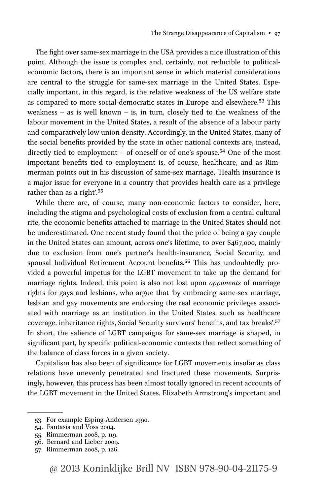The fight over same-sex marriage in the USA provides a nice illustration of this point. Although the issue is complex and, certainly, not reducible to politicaleconomic factors, there is an important sense in which material considerations are central to the struggle for same-sex marriage in the United States. Especially important, in this regard, is the relative weakness of the US welfare state as compared to more social-democratic states in Europe and elsewhere.53 This weakness – as is well known – is, in turn, closely tied to the weakness of the labour movement in the United States, a result of the absence of a labour party and comparatively low union density. Accordingly, in the United States, many of the social benefits provided by the state in other national contexts are, instead, directly tied to employment – of oneself or of one's spouse.<sup>54</sup> One of the most important benefits tied to employment is, of course, healthcare, and as Rimmerman points out in his discussion of same-sex marriage, 'Health insurance is a major issue for everyone in a country that provides health care as a privilege rather than as a right'.<sup>55</sup>

While there are, of course, many non-economic factors to consider, here, including the stigma and psychological costs of exclusion from a central cultural rite, the economic benefits attached to marriage in the United States should not be underestimated. One recent study found that the price of being a gay couple in the United States can amount, across one's lifetime, to over \$467,000, mainly due to exclusion from one's partner's health-insurance, Social Security, and spousal Individual Retirement Account benefits.<sup>56</sup> This has undoubtedly provided a powerful impetus for the LGBT movement to take up the demand for marriage rights. Indeed, this point is also not lost upon *opponents* of marriage rights for gays and lesbians, who argue that 'by embracing same-sex marriage, lesbian and gay movements are endorsing the real economic privileges associated with marriage as an institution in the United States, such as healthcare coverage, inheritance rights, Social Security survivors' benefits, and tax breaks'.<sup>57</sup> In short, the salience of LGBT campaigns for same-sex marriage is shaped, in significant part, by specific political-economic contexts that reflect something of the balance of class forces in a given society.

Capitalism has also been of significance for LGBT movements insofar as class relations have unevenly penetrated and fractured these movements. Surprisingly, however, this process has been almost totally ignored in recent accounts of the LGBT movement in the United States. Elizabeth Armstrong's important and

<sup>53.</sup> For example Esping-Andersen 1990.

<sup>54.</sup> Fantasia and Voss 2004.

<sup>55.</sup> Rimmerman 2008, p. 119.

<sup>56.</sup> Bernard and Lieber 2009.

<sup>57.</sup> Rimmerman 2008, p. 126.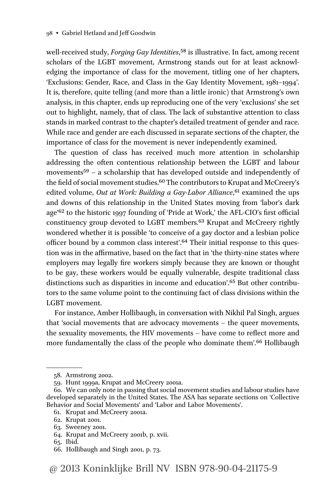well-received study, *Forging Gay Identities*,58 is illustrative. In fact, among recent scholars of the LGBT movement, Armstrong stands out for at least acknowledging the importance of class for the movement, titling one of her chapters, 'Exclusions: Gender, Race, and Class in the Gay Identity Movement, 1981–1994'. It is, therefore, quite telling (and more than a little ironic) that Armstrong's own analysis, in this chapter, ends up reproducing one of the very 'exclusions' she set out to highlight, namely, that of class. The lack of substantive attention to class stands in marked contrast to the chapter's detailed treatment of gender and race. While race and gender are each discussed in separate sections of the chapter, the importance of class for the movement is never independently examined.

The question of class has received much more attention in scholarship addressing the often contentious relationship between the LGBT and labour movements<sup>59</sup> – a scholarship that has developed outside and independently of the field of social movement studies.<sup>60</sup> The contributors to Krupat and McCreery's edited volume, *Out at Work: Building a Gay-Labor Alliance*,<sup>61</sup> examined the ups and downs of this relationship in the United States moving from 'labor's dark age'<sup>62</sup> to the historic 1997 founding of 'Pride at Work,' the AFL-CIO's first official constituency group devoted to LGBT members.63 Krupat and McCreery rightly wondered whether it is possible 'to conceive of a gay doctor and a lesbian police officer bound by a common class interest'. $64$  Their initial response to this question was in the affirmative, based on the fact that in 'the thirty-nine states where employers may legally fire workers simply because they are known or thought to be gay, these workers would be equally vulnerable, despite traditional class distinctions such as disparities in income and education'.<sup>65</sup> But other contributors to the same volume point to the continuing fact of class divisions within the LGBT movement.

For instance, Amber Hollibaugh, in conversation with Nikhil Pal Singh, argues that 'social movements that are advocacy movements – the queer movements, the sexuality movements, the HIV movements – have come to reflect more and more fundamentally the class of the people who dominate them'.66 Hollibaugh

<sup>58.</sup> Armstrong 2002.

<sup>59.</sup> Hunt 1999a, Krupat and McCreery 2001a.

<sup>60.</sup> We can only note in passing that social movement studies and labour studies have developed separately in the United States. The ASA has separate sections on 'Collective Behavior and Social Movements' and 'Labor and Labor Movements'.

<sup>61.</sup> Krupat and McCreery 2001a.

<sup>62.</sup> Krupat 2001.

<sup>63.</sup> Sweeney 2001.

<sup>64.</sup> Krupat and McCreery 2001b, p. xvii.

<sup>65.</sup> Ibid.

<sup>66.</sup> Hollibaugh and Singh 2001, p. 73.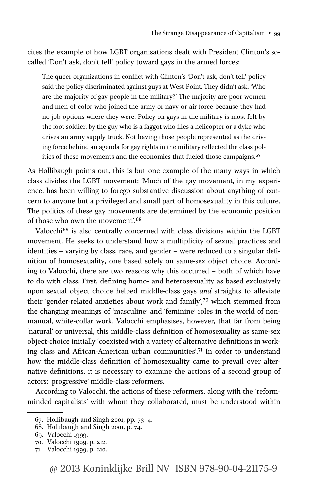cites the example of how LGBT organisations dealt with President Clinton's socalled 'Don't ask, don't tell' policy toward gays in the armed forces:

The queer organizations in conflict with Clinton's 'Don't ask, don't tell' policy said the policy discriminated against guys at West Point. They didn't ask, 'Who are the majority of gay people in the military?' The majority are poor women and men of color who joined the army or navy or air force because they had no job options where they were. Policy on gays in the military is most felt by the foot soldier, by the guy who is a faggot who flies a helicopter or a dyke who drives an army supply truck. Not having those people represented as the driving force behind an agenda for gay rights in the military reflected the class politics of these movements and the economics that fueled those campaigns.<sup>67</sup>

As Hollibaugh points out, this is but one example of the many ways in which class divides the LGBT movement: 'Much of the gay movement, in my experience, has been willing to forego substantive discussion about anything of concern to anyone but a privileged and small part of homosexuality in this culture. The politics of these gay movements are determined by the economic position of those who own the movement'.68

Valocchi<sup>69</sup> is also centrally concerned with class divisions within the LGBT movement. He seeks to understand how a multiplicity of sexual practices and  $identities - varying by class, race, and gender - were reduced to a singular defi$ nition of homosexuality, one based solely on same-sex object choice. According to Valocchi, there are two reasons why this occurred – both of which have to do with class. First, defining homo- and heterosexuality as based exclusively upon sexual object choice helped middle-class gays *and* straights to alleviate their 'gender-related anxieties about work and family',70 which stemmed from the changing meanings of 'masculine' and 'feminine' roles in the world of nonmanual, white-collar work. Valocchi emphasises, however, that far from being 'natural' or universal, this middle-class definition of homosexuality as same-sex object-choice initially 'coexisted with a variety of alternative definitions in working class and African-American urban communities'.71 In order to understand how the middle-class definition of homosexuality came to prevail over alternative definitions, it is necessary to examine the actions of a second group of actors: 'progressive' middle-class reformers.

According to Valocchi, the actions of these reformers, along with the 'reformminded capitalists' with whom they collaborated, must be understood within

71. Valocchi 1999, p. 210.

<sup>67.</sup> Hollibaugh and Singh 2001, pp. 73–4.

<sup>68.</sup> Hollibaugh and Singh 2001, p. 74.

<sup>69.</sup> Valocchi 1999.

<sup>70.</sup> Valocchi 1999, p. 212.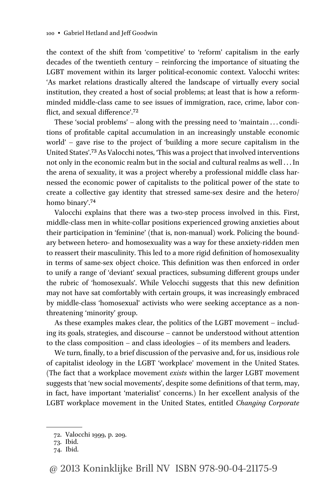the context of the shift from 'competitive' to 'reform' capitalism in the early decades of the twentieth century – reinforcing the importance of situating the LGBT movement within its larger political-economic context. Valocchi writes: 'As market relations drastically altered the landscape of virtually every social institution, they created a host of social problems; at least that is how a reformminded middle-class came to see issues of immigration, race, crime, labor conflict, and sexual difference'. $72$ 

These 'social problems' – along with the pressing need to 'maintain . . . conditions of profitable capital accumulation in an increasingly unstable economic world' – gave rise to the project of 'building a more secure capitalism in the United States'.73 As Valocchi notes, 'This was a project that involved interventions not only in the economic realm but in the social and cultural realms as well . . . In the arena of sexuality, it was a project whereby a professional middle class harnessed the economic power of capitalists to the political power of the state to create a collective gay identity that stressed same-sex desire and the hetero/ homo binary'.74

Valocchi explains that there was a two-step process involved in this. First, middle-class men in white-collar positions experienced growing anxieties about their participation in 'feminine' (that is, non-manual) work. Policing the boundary between hetero- and homosexuality was a way for these anxiety-ridden men to reassert their masculinity. This led to a more rigid definition of homosexuality in terms of same-sex object choice. This definition was then enforced in order to unify a range of 'deviant' sexual practices, subsuming different groups under the rubric of 'homosexuals'. While Velocchi suggests that this new definition may not have sat comfortably with certain groups, it was increasingly embraced by middle-class 'homosexual' activists who were seeking acceptance as a nonthreatening 'minority' group.

As these examples makes clear, the politics of the LGBT movement – including its goals, strategies, and discourse – cannot be understood without attention to the class composition – and class ideologies – of its members and leaders.

We turn, finally, to a brief discussion of the pervasive and, for us, insidious role of capitalist ideology in the LGBT 'workplace' movement in the United States. (The fact that a workplace movement *exists* within the larger LGBT movement suggests that 'new social movements', despite some definitions of that term, may, in fact, have important 'materialist' concerns.) In her excellent analysis of the LGBT workplace movement in the United States, entitled *Changing Corporate* 

<sup>72.</sup> Valocchi 1999, p. 209.

<sup>73.</sup> Ibid.

<sup>74.</sup> Ibid.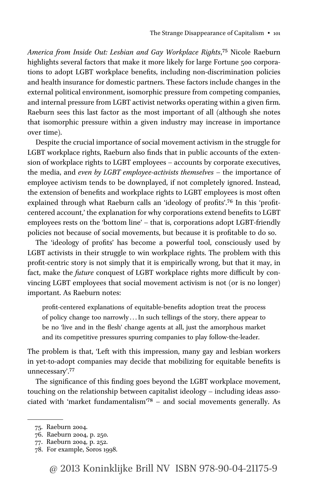*America from Inside Out: Lesbian and Gay Workplace Rights*,75 Nicole Raeburn highlights several factors that make it more likely for large Fortune 500 corporations to adopt LGBT workplace benefits, including non-discrimination policies and health insurance for domestic partners. These factors include changes in the external political environment, isomorphic pressure from competing companies, and internal pressure from LGBT activist networks operating within a given firm. Raeburn sees this last factor as the most important of all (although she notes that isomorphic pressure within a given industry may increase in importance over time).

Despite the crucial importance of social movement activism in the struggle for LGBT workplace rights, Raeburn also finds that in public accounts of the extension of workplace rights to LGBT employees – accounts by corporate executives, the media, and *even by LGBT employee-activists themselves* – the importance of employee activism tends to be downplayed, if not completely ignored. Instead, the extension of benefits and workplace rights to LGBT employees is most often explained through what Raeburn calls an 'ideology of profits'.<sup>76</sup> In this 'profitcentered account,' the explanation for why corporations extend benefits to LGBT employees rests on the 'bottom line' – that is, corporations adopt LGBT-friendly policies not because of social movements, but because it is profitable to do so.

The 'ideology of profits' has become a powerful tool, consciously used by LGBT activists in their struggle to win workplace rights. The problem with this profit-centric story is not simply that it is empirically wrong, but that it may, in fact, make the *future* conquest of LGBT workplace rights more difficult by convincing LGBT employees that social movement activism is not (or is no longer) important. As Raeburn notes:

profit-centered explanations of equitable-benefits adoption treat the process of policy change too narrowly . . . In such tellings of the story, there appear to be no 'live and in the flesh' change agents at all, just the amorphous market and its competitive pressures spurring companies to play follow-the-leader.

The problem is that, 'Left with this impression, many gay and lesbian workers in yet-to-adopt companies may decide that mobilizing for equitable benefits is unnecessary'.77

The significance of this finding goes beyond the LGBT workplace movement, touching on the relationship between capitalist ideology – including ideas associated with 'market fundamentalism'78 – and social movements generally. As

<sup>75.</sup> Raeburn 2004.

<sup>76.</sup> Raeburn 2004, p. 250.

<sup>77.</sup> Raeburn 2004, p. 252.

<sup>78.</sup> For example, Soros 1998.